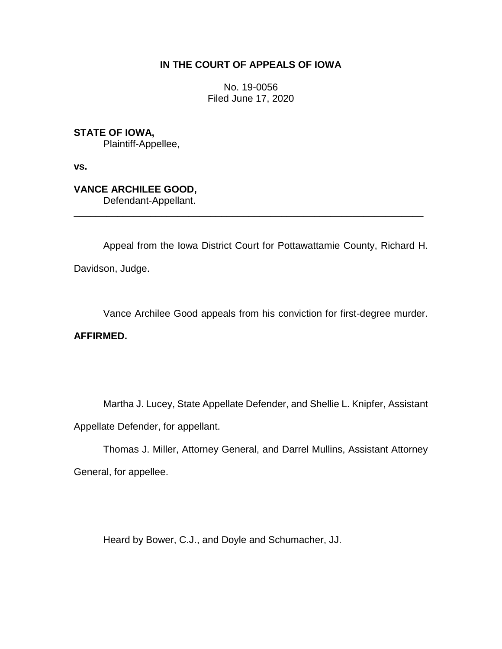## **IN THE COURT OF APPEALS OF IOWA**

No. 19-0056 Filed June 17, 2020

**STATE OF IOWA,** Plaintiff-Appellee,

**vs.**

**VANCE ARCHILEE GOOD,** Defendant-Appellant.

Appeal from the Iowa District Court for Pottawattamie County, Richard H. Davidson, Judge.

\_\_\_\_\_\_\_\_\_\_\_\_\_\_\_\_\_\_\_\_\_\_\_\_\_\_\_\_\_\_\_\_\_\_\_\_\_\_\_\_\_\_\_\_\_\_\_\_\_\_\_\_\_\_\_\_\_\_\_\_\_\_\_\_

Vance Archilee Good appeals from his conviction for first-degree murder.

**AFFIRMED.**

Martha J. Lucey, State Appellate Defender, and Shellie L. Knipfer, Assistant Appellate Defender, for appellant.

Thomas J. Miller, Attorney General, and Darrel Mullins, Assistant Attorney General, for appellee.

Heard by Bower, C.J., and Doyle and Schumacher, JJ.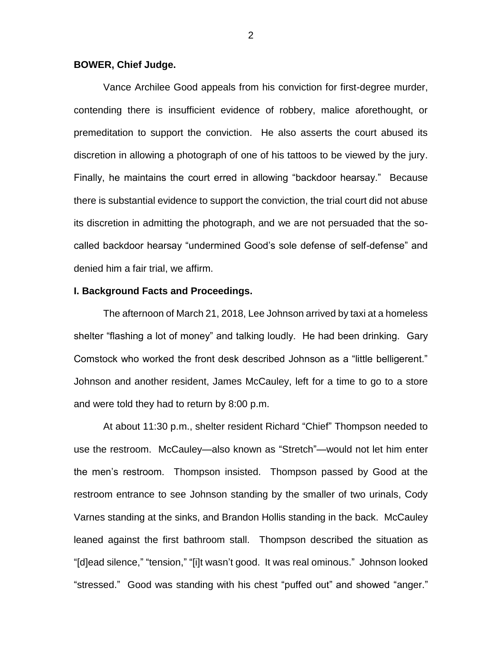### **BOWER, Chief Judge.**

Vance Archilee Good appeals from his conviction for first-degree murder, contending there is insufficient evidence of robbery, malice aforethought, or premeditation to support the conviction. He also asserts the court abused its discretion in allowing a photograph of one of his tattoos to be viewed by the jury. Finally, he maintains the court erred in allowing "backdoor hearsay." Because there is substantial evidence to support the conviction, the trial court did not abuse its discretion in admitting the photograph, and we are not persuaded that the socalled backdoor hearsay "undermined Good's sole defense of self-defense" and denied him a fair trial, we affirm.

#### **I. Background Facts and Proceedings.**

The afternoon of March 21, 2018, Lee Johnson arrived by taxi at a homeless shelter "flashing a lot of money" and talking loudly. He had been drinking. Gary Comstock who worked the front desk described Johnson as a "little belligerent." Johnson and another resident, James McCauley, left for a time to go to a store and were told they had to return by 8:00 p.m.

At about 11:30 p.m., shelter resident Richard "Chief" Thompson needed to use the restroom. McCauley—also known as "Stretch"—would not let him enter the men's restroom. Thompson insisted. Thompson passed by Good at the restroom entrance to see Johnson standing by the smaller of two urinals, Cody Varnes standing at the sinks, and Brandon Hollis standing in the back. McCauley leaned against the first bathroom stall. Thompson described the situation as "[d]ead silence," "tension," "[i]t wasn't good. It was real ominous." Johnson looked "stressed." Good was standing with his chest "puffed out" and showed "anger."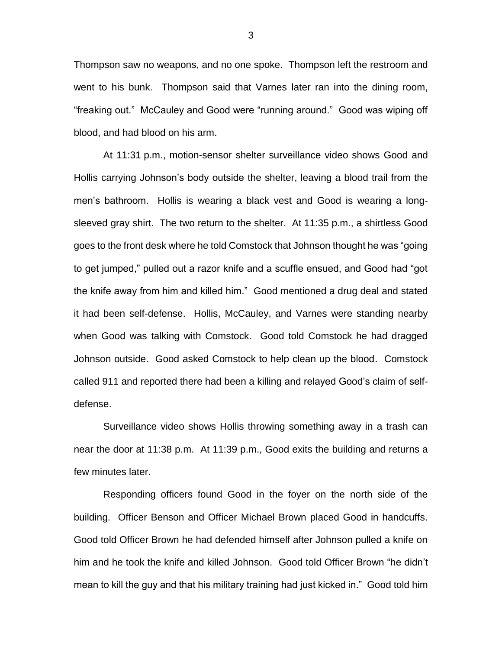Thompson saw no weapons, and no one spoke. Thompson left the restroom and went to his bunk. Thompson said that Varnes later ran into the dining room, "freaking out." McCauley and Good were "running around." Good was wiping off blood, and had blood on his arm.

At 11:31 p.m., motion-sensor shelter surveillance video shows Good and Hollis carrying Johnson's body outside the shelter, leaving a blood trail from the men's bathroom. Hollis is wearing a black vest and Good is wearing a longsleeved gray shirt. The two return to the shelter. At 11:35 p.m., a shirtless Good goes to the front desk where he told Comstock that Johnson thought he was "going to get jumped," pulled out a razor knife and a scuffle ensued, and Good had "got the knife away from him and killed him." Good mentioned a drug deal and stated it had been self-defense. Hollis, McCauley, and Varnes were standing nearby when Good was talking with Comstock. Good told Comstock he had dragged Johnson outside. Good asked Comstock to help clean up the blood. Comstock called 911 and reported there had been a killing and relayed Good's claim of selfdefense.

Surveillance video shows Hollis throwing something away in a trash can near the door at 11:38 p.m. At 11:39 p.m., Good exits the building and returns a few minutes later.

Responding officers found Good in the foyer on the north side of the building. Officer Benson and Officer Michael Brown placed Good in handcuffs. Good told Officer Brown he had defended himself after Johnson pulled a knife on him and he took the knife and killed Johnson. Good told Officer Brown "he didn't mean to kill the guy and that his military training had just kicked in." Good told him

3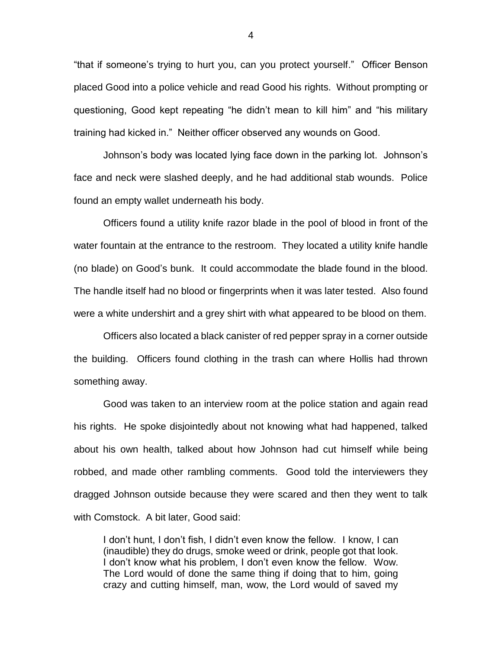"that if someone's trying to hurt you, can you protect yourself." Officer Benson placed Good into a police vehicle and read Good his rights. Without prompting or questioning, Good kept repeating "he didn't mean to kill him" and "his military training had kicked in." Neither officer observed any wounds on Good.

Johnson's body was located lying face down in the parking lot. Johnson's face and neck were slashed deeply, and he had additional stab wounds. Police found an empty wallet underneath his body.

Officers found a utility knife razor blade in the pool of blood in front of the water fountain at the entrance to the restroom. They located a utility knife handle (no blade) on Good's bunk. It could accommodate the blade found in the blood. The handle itself had no blood or fingerprints when it was later tested. Also found were a white undershirt and a grey shirt with what appeared to be blood on them.

Officers also located a black canister of red pepper spray in a corner outside the building. Officers found clothing in the trash can where Hollis had thrown something away.

Good was taken to an interview room at the police station and again read his rights. He spoke disjointedly about not knowing what had happened, talked about his own health, talked about how Johnson had cut himself while being robbed, and made other rambling comments. Good told the interviewers they dragged Johnson outside because they were scared and then they went to talk with Comstock. A bit later, Good said:

I don't hunt, I don't fish, I didn't even know the fellow. I know, I can (inaudible) they do drugs, smoke weed or drink, people got that look. I don't know what his problem, I don't even know the fellow. Wow. The Lord would of done the same thing if doing that to him, going crazy and cutting himself, man, wow, the Lord would of saved my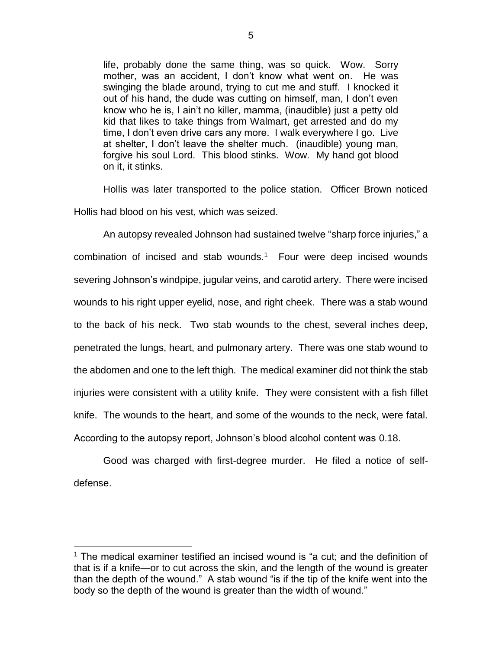life, probably done the same thing, was so quick. Wow. Sorry mother, was an accident, I don't know what went on. He was swinging the blade around, trying to cut me and stuff. I knocked it out of his hand, the dude was cutting on himself, man, I don't even know who he is, I ain't no killer, mamma, (inaudible) just a petty old kid that likes to take things from Walmart, get arrested and do my time, I don't even drive cars any more. I walk everywhere I go. Live at shelter, I don't leave the shelter much. (inaudible) young man, forgive his soul Lord. This blood stinks. Wow. My hand got blood on it, it stinks.

Hollis was later transported to the police station. Officer Brown noticed Hollis had blood on his vest, which was seized.

An autopsy revealed Johnson had sustained twelve "sharp force injuries," a combination of incised and stab wounds.<sup>1</sup> Four were deep incised wounds severing Johnson's windpipe, jugular veins, and carotid artery. There were incised wounds to his right upper eyelid, nose, and right cheek. There was a stab wound to the back of his neck. Two stab wounds to the chest, several inches deep, penetrated the lungs, heart, and pulmonary artery. There was one stab wound to the abdomen and one to the left thigh. The medical examiner did not think the stab injuries were consistent with a utility knife. They were consistent with a fish fillet knife. The wounds to the heart, and some of the wounds to the neck, were fatal. According to the autopsy report, Johnson's blood alcohol content was 0.18.

Good was charged with first-degree murder. He filed a notice of selfdefense.

 $\overline{a}$ 

 $^1$  The medical examiner testified an incised wound is "a cut: and the definition of that is if a knife—or to cut across the skin, and the length of the wound is greater than the depth of the wound." A stab wound "is if the tip of the knife went into the body so the depth of the wound is greater than the width of wound."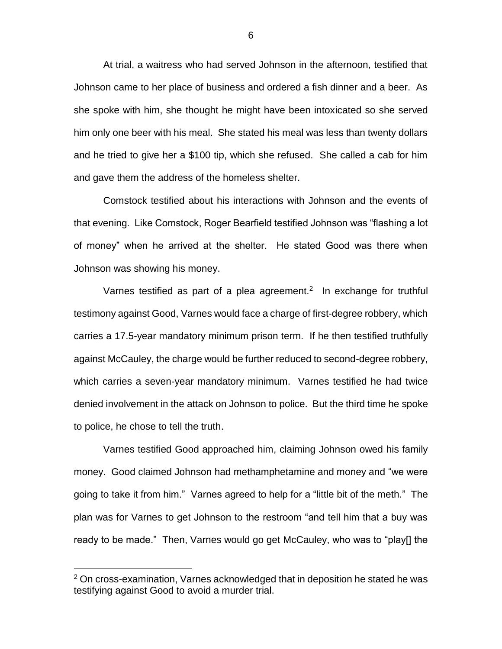At trial, a waitress who had served Johnson in the afternoon, testified that Johnson came to her place of business and ordered a fish dinner and a beer. As she spoke with him, she thought he might have been intoxicated so she served him only one beer with his meal. She stated his meal was less than twenty dollars and he tried to give her a \$100 tip, which she refused. She called a cab for him and gave them the address of the homeless shelter.

Comstock testified about his interactions with Johnson and the events of that evening. Like Comstock, Roger Bearfield testified Johnson was "flashing a lot of money" when he arrived at the shelter. He stated Good was there when Johnson was showing his money.

Varnes testified as part of a plea agreement.<sup>2</sup> In exchange for truthful testimony against Good, Varnes would face a charge of first-degree robbery, which carries a 17.5-year mandatory minimum prison term. If he then testified truthfully against McCauley, the charge would be further reduced to second-degree robbery, which carries a seven-year mandatory minimum. Varnes testified he had twice denied involvement in the attack on Johnson to police. But the third time he spoke to police, he chose to tell the truth.

Varnes testified Good approached him, claiming Johnson owed his family money. Good claimed Johnson had methamphetamine and money and "we were going to take it from him." Varnes agreed to help for a "little bit of the meth." The plan was for Varnes to get Johnson to the restroom "and tell him that a buy was ready to be made." Then, Varnes would go get McCauley, who was to "play[] the

 $\overline{a}$ 

 $2$  On cross-examination, Varnes acknowledged that in deposition he stated he was testifying against Good to avoid a murder trial.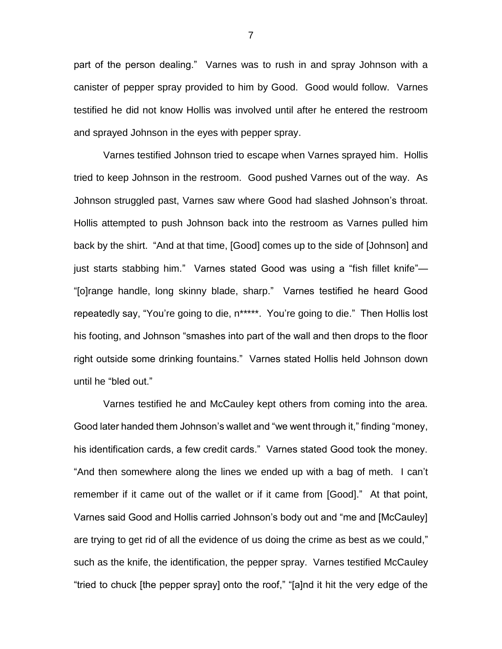part of the person dealing." Varnes was to rush in and spray Johnson with a canister of pepper spray provided to him by Good. Good would follow. Varnes testified he did not know Hollis was involved until after he entered the restroom and sprayed Johnson in the eyes with pepper spray.

Varnes testified Johnson tried to escape when Varnes sprayed him. Hollis tried to keep Johnson in the restroom. Good pushed Varnes out of the way. As Johnson struggled past, Varnes saw where Good had slashed Johnson's throat. Hollis attempted to push Johnson back into the restroom as Varnes pulled him back by the shirt. "And at that time, [Good] comes up to the side of [Johnson] and just starts stabbing him." Varnes stated Good was using a "fish fillet knife"— "[o]range handle, long skinny blade, sharp." Varnes testified he heard Good repeatedly say, "You're going to die, n\*\*\*\*\*. You're going to die." Then Hollis lost his footing, and Johnson "smashes into part of the wall and then drops to the floor right outside some drinking fountains." Varnes stated Hollis held Johnson down until he "bled out."

Varnes testified he and McCauley kept others from coming into the area. Good later handed them Johnson's wallet and "we went through it," finding "money, his identification cards, a few credit cards." Varnes stated Good took the money. "And then somewhere along the lines we ended up with a bag of meth. I can't remember if it came out of the wallet or if it came from [Good]." At that point, Varnes said Good and Hollis carried Johnson's body out and "me and [McCauley] are trying to get rid of all the evidence of us doing the crime as best as we could," such as the knife, the identification, the pepper spray. Varnes testified McCauley "tried to chuck [the pepper spray] onto the roof," "[a]nd it hit the very edge of the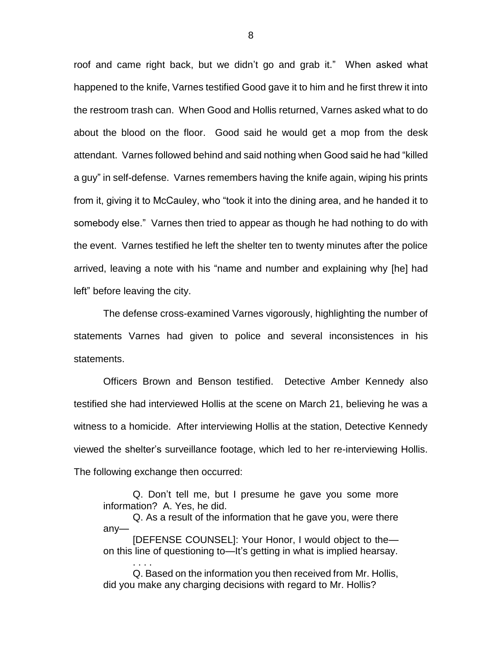roof and came right back, but we didn't go and grab it." When asked what happened to the knife, Varnes testified Good gave it to him and he first threw it into the restroom trash can. When Good and Hollis returned, Varnes asked what to do about the blood on the floor. Good said he would get a mop from the desk attendant. Varnes followed behind and said nothing when Good said he had "killed a guy" in self-defense. Varnes remembers having the knife again, wiping his prints from it, giving it to McCauley, who "took it into the dining area, and he handed it to somebody else." Varnes then tried to appear as though he had nothing to do with the event. Varnes testified he left the shelter ten to twenty minutes after the police arrived, leaving a note with his "name and number and explaining why [he] had left" before leaving the city.

The defense cross-examined Varnes vigorously, highlighting the number of statements Varnes had given to police and several inconsistences in his statements.

Officers Brown and Benson testified. Detective Amber Kennedy also testified she had interviewed Hollis at the scene on March 21, believing he was a witness to a homicide. After interviewing Hollis at the station, Detective Kennedy viewed the shelter's surveillance footage, which led to her re-interviewing Hollis. The following exchange then occurred:

Q. Don't tell me, but I presume he gave you some more information? A. Yes, he did.

Q. As a result of the information that he gave you, were there any—

[DEFENSE COUNSEL]: Your Honor, I would object to the on this line of questioning to—It's getting in what is implied hearsay.

Q. Based on the information you then received from Mr. Hollis, did you make any charging decisions with regard to Mr. Hollis?

. . . .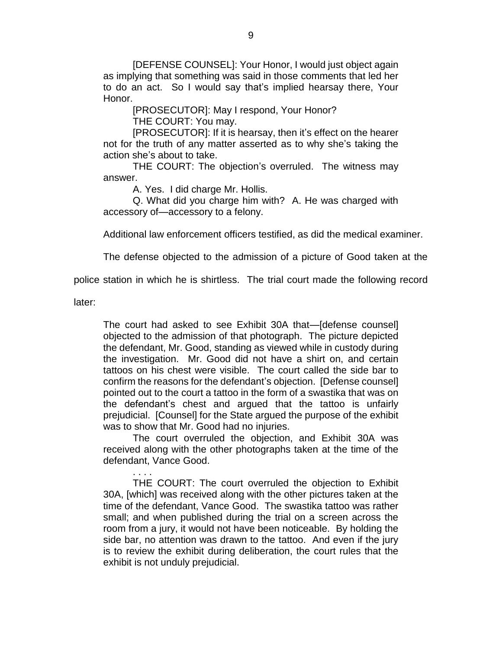[DEFENSE COUNSEL]: Your Honor, I would just object again as implying that something was said in those comments that led her to do an act. So I would say that's implied hearsay there, Your Honor.

[PROSECUTOR]: May I respond, Your Honor?

THE COURT: You may.

[PROSECUTOR]: If it is hearsay, then it's effect on the hearer not for the truth of any matter asserted as to why she's taking the action she's about to take.

THE COURT: The objection's overruled. The witness may answer.

A. Yes. I did charge Mr. Hollis.

Q. What did you charge him with? A. He was charged with accessory of—accessory to a felony.

Additional law enforcement officers testified, as did the medical examiner.

The defense objected to the admission of a picture of Good taken at the

police station in which he is shirtless. The trial court made the following record

later:

The court had asked to see Exhibit 30A that—[defense counsel] objected to the admission of that photograph. The picture depicted the defendant, Mr. Good, standing as viewed while in custody during the investigation. Mr. Good did not have a shirt on, and certain tattoos on his chest were visible. The court called the side bar to confirm the reasons for the defendant's objection. [Defense counsel] pointed out to the court a tattoo in the form of a swastika that was on the defendant's chest and argued that the tattoo is unfairly prejudicial. [Counsel] for the State argued the purpose of the exhibit was to show that Mr. Good had no injuries.

The court overruled the objection, and Exhibit 30A was received along with the other photographs taken at the time of the defendant, Vance Good.

. . . . THE COURT: The court overruled the objection to Exhibit 30A, [which] was received along with the other pictures taken at the time of the defendant, Vance Good. The swastika tattoo was rather small; and when published during the trial on a screen across the room from a jury, it would not have been noticeable. By holding the side bar, no attention was drawn to the tattoo. And even if the jury is to review the exhibit during deliberation, the court rules that the exhibit is not unduly prejudicial.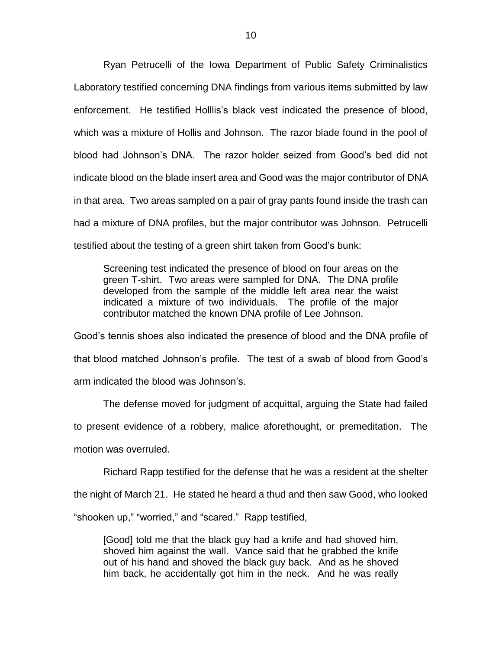Ryan Petrucelli of the Iowa Department of Public Safety Criminalistics Laboratory testified concerning DNA findings from various items submitted by law enforcement. He testified Holllis's black vest indicated the presence of blood, which was a mixture of Hollis and Johnson. The razor blade found in the pool of blood had Johnson's DNA. The razor holder seized from Good's bed did not indicate blood on the blade insert area and Good was the major contributor of DNA in that area. Two areas sampled on a pair of gray pants found inside the trash can had a mixture of DNA profiles, but the major contributor was Johnson. Petrucelli testified about the testing of a green shirt taken from Good's bunk:

Screening test indicated the presence of blood on four areas on the green T-shirt. Two areas were sampled for DNA. The DNA profile developed from the sample of the middle left area near the waist indicated a mixture of two individuals. The profile of the major contributor matched the known DNA profile of Lee Johnson.

Good's tennis shoes also indicated the presence of blood and the DNA profile of that blood matched Johnson's profile. The test of a swab of blood from Good's arm indicated the blood was Johnson's.

The defense moved for judgment of acquittal, arguing the State had failed to present evidence of a robbery, malice aforethought, or premeditation. The motion was overruled.

Richard Rapp testified for the defense that he was a resident at the shelter

the night of March 21. He stated he heard a thud and then saw Good, who looked

"shooken up," "worried," and "scared." Rapp testified,

[Good] told me that the black guy had a knife and had shoved him, shoved him against the wall. Vance said that he grabbed the knife out of his hand and shoved the black guy back. And as he shoved him back, he accidentally got him in the neck. And he was really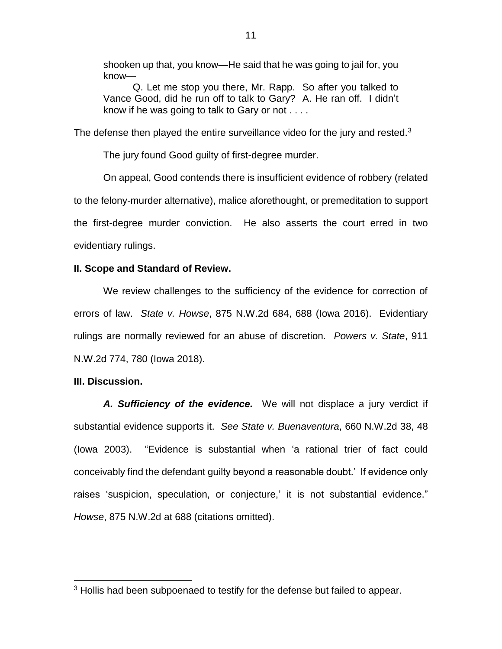shooken up that, you know—He said that he was going to jail for, you know—

Q. Let me stop you there, Mr. Rapp. So after you talked to Vance Good, did he run off to talk to Gary? A. He ran off. I didn't know if he was going to talk to Gary or not . . . .

The defense then played the entire surveillance video for the jury and rested. $3$ 

The jury found Good guilty of first-degree murder.

On appeal, Good contends there is insufficient evidence of robbery (related to the felony-murder alternative), malice aforethought, or premeditation to support the first-degree murder conviction. He also asserts the court erred in two evidentiary rulings.

# **II. Scope and Standard of Review.**

We review challenges to the sufficiency of the evidence for correction of errors of law. *State v. Howse*, 875 N.W.2d 684, 688 (Iowa 2016). Evidentiary rulings are normally reviewed for an abuse of discretion. *Powers v. State*, 911 N.W.2d 774, 780 (Iowa 2018).

## **III. Discussion.**

 $\overline{a}$ 

*A. Sufficiency of the evidence.* We will not displace a jury verdict if substantial evidence supports it. *See State v. Buenaventura*, 660 N.W.2d 38, 48 (Iowa 2003). "Evidence is substantial when 'a rational trier of fact could conceivably find the defendant guilty beyond a reasonable doubt.' If evidence only raises 'suspicion, speculation, or conjecture,' it is not substantial evidence." *Howse*, 875 N.W.2d at 688 (citations omitted).

<sup>&</sup>lt;sup>3</sup> Hollis had been subpoenaed to testify for the defense but failed to appear.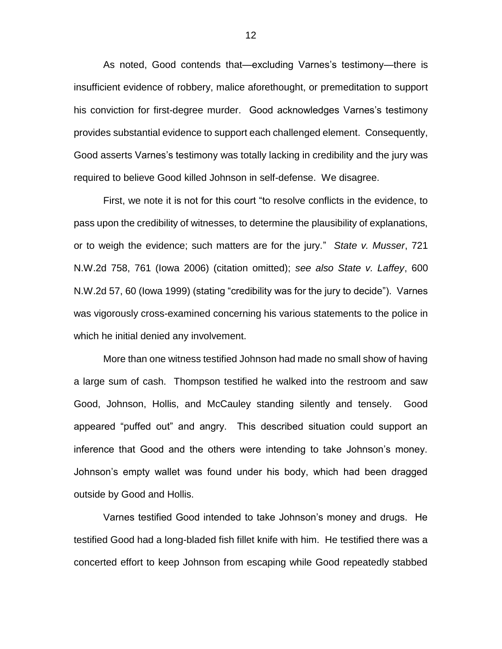As noted, Good contends that—excluding Varnes's testimony—there is insufficient evidence of robbery, malice aforethought, or premeditation to support his conviction for first-degree murder. Good acknowledges Varnes's testimony provides substantial evidence to support each challenged element. Consequently, Good asserts Varnes's testimony was totally lacking in credibility and the jury was required to believe Good killed Johnson in self-defense. We disagree.

First, we note it is not for this court "to resolve conflicts in the evidence, to pass upon the credibility of witnesses, to determine the plausibility of explanations, or to weigh the evidence; such matters are for the jury." *State v. Musser*, 721 N.W.2d 758, 761 (Iowa 2006) (citation omitted); *see also State v. Laffey*, 600 N.W.2d 57, 60 (Iowa 1999) (stating "credibility was for the jury to decide"). Varnes was vigorously cross-examined concerning his various statements to the police in which he initial denied any involvement.

More than one witness testified Johnson had made no small show of having a large sum of cash. Thompson testified he walked into the restroom and saw Good, Johnson, Hollis, and McCauley standing silently and tensely. Good appeared "puffed out" and angry. This described situation could support an inference that Good and the others were intending to take Johnson's money. Johnson's empty wallet was found under his body, which had been dragged outside by Good and Hollis.

Varnes testified Good intended to take Johnson's money and drugs. He testified Good had a long-bladed fish fillet knife with him. He testified there was a concerted effort to keep Johnson from escaping while Good repeatedly stabbed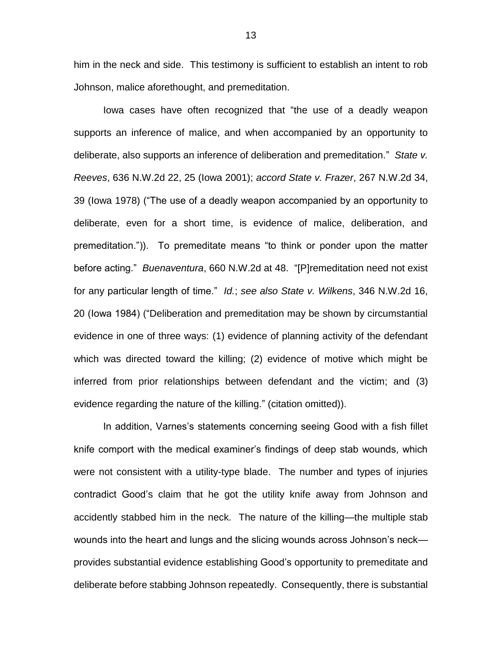him in the neck and side. This testimony is sufficient to establish an intent to rob Johnson, malice aforethought, and premeditation.

Iowa cases have often recognized that "the use of a deadly weapon supports an inference of malice, and when accompanied by an opportunity to deliberate, also supports an inference of deliberation and premeditation." *State v. Reeves*, 636 N.W.2d 22, 25 (Iowa 2001); *accord State v. Frazer*, 267 N.W.2d 34, 39 (Iowa 1978) ("The use of a deadly weapon accompanied by an opportunity to deliberate, even for a short time, is evidence of malice, deliberation, and premeditation.")). To premeditate means "to think or ponder upon the matter before acting." *Buenaventura*, 660 N.W.2d at 48. "[P]remeditation need not exist for any particular length of time." *Id.*; *see also State v. Wilkens*, 346 N.W.2d 16, 20 (Iowa 1984) ("Deliberation and premeditation may be shown by circumstantial evidence in one of three ways: (1) evidence of planning activity of the defendant which was directed toward the killing; (2) evidence of motive which might be inferred from prior relationships between defendant and the victim; and (3) evidence regarding the nature of the killing." (citation omitted)).

In addition, Varnes's statements concerning seeing Good with a fish fillet knife comport with the medical examiner's findings of deep stab wounds, which were not consistent with a utility-type blade. The number and types of injuries contradict Good's claim that he got the utility knife away from Johnson and accidently stabbed him in the neck. The nature of the killing—the multiple stab wounds into the heart and lungs and the slicing wounds across Johnson's neck provides substantial evidence establishing Good's opportunity to premeditate and deliberate before stabbing Johnson repeatedly. Consequently, there is substantial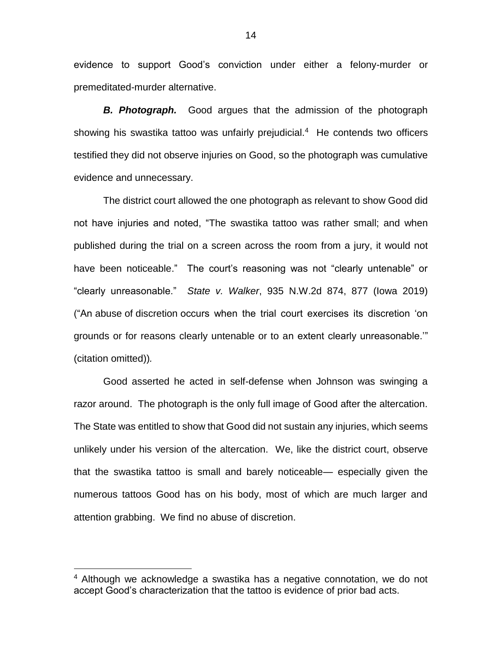evidence to support Good's conviction under either a felony-murder or premeditated-murder alternative.

*B. Photograph.* Good argues that the admission of the photograph showing his swastika tattoo was unfairly prejudicial.<sup>4</sup> He contends two officers testified they did not observe injuries on Good, so the photograph was cumulative evidence and unnecessary.

The district court allowed the one photograph as relevant to show Good did not have injuries and noted, "The swastika tattoo was rather small; and when published during the trial on a screen across the room from a jury, it would not have been noticeable." The court's reasoning was not "clearly untenable" or "clearly unreasonable." *State v. Walker*, 935 N.W.2d 874, 877 (Iowa 2019) ("An abuse of discretion occurs when the trial court exercises its discretion 'on grounds or for reasons clearly untenable or to an extent clearly unreasonable.'" (citation omitted))*.*

Good asserted he acted in self-defense when Johnson was swinging a razor around. The photograph is the only full image of Good after the altercation. The State was entitled to show that Good did not sustain any injuries, which seems unlikely under his version of the altercation. We, like the district court, observe that the swastika tattoo is small and barely noticeable— especially given the numerous tattoos Good has on his body, most of which are much larger and attention grabbing. We find no abuse of discretion.

 $\overline{a}$ 

<sup>&</sup>lt;sup>4</sup> Although we acknowledge a swastika has a negative connotation, we do not accept Good's characterization that the tattoo is evidence of prior bad acts.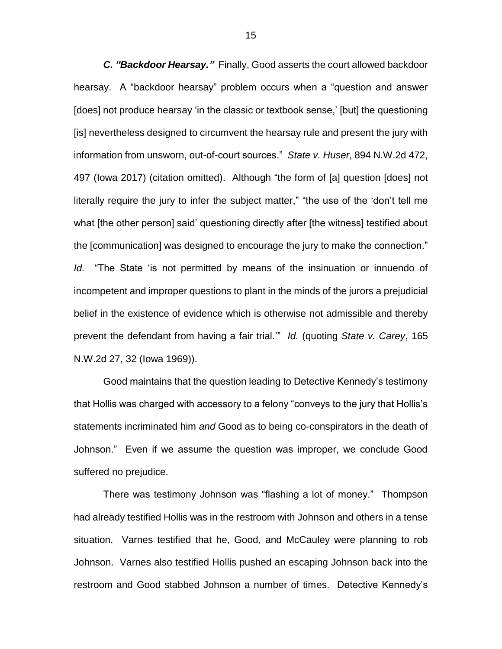*C. "Backdoor Hearsay."* Finally, Good asserts the court allowed backdoor hearsay. A "backdoor hearsay" problem occurs when a "question and answer [does] not produce hearsay 'in the classic or textbook sense,' [but] the questioning [is] nevertheless designed to circumvent the hearsay rule and present the jury with information from unsworn, out-of-court sources." *State v. Huser*, 894 N.W.2d 472, 497 (Iowa 2017) (citation omitted). Although "the form of [a] question [does] not literally require the jury to infer the subject matter," "the use of the 'don't tell me what [the other person] said' questioning directly after [the witness] testified about the [communication] was designed to encourage the jury to make the connection." *Id.* "The State 'is not permitted by means of the insinuation or innuendo of incompetent and improper questions to plant in the minds of the jurors a prejudicial belief in the existence of evidence which is otherwise not admissible and thereby prevent the defendant from having a fair trial.'" *Id.* (quoting *State v. Carey*, 165 N.W.2d 27, 32 (Iowa 1969)).

Good maintains that the question leading to Detective Kennedy's testimony that Hollis was charged with accessory to a felony "conveys to the jury that Hollis's statements incriminated him *and* Good as to being co-conspirators in the death of Johnson." Even if we assume the question was improper, we conclude Good suffered no prejudice.

There was testimony Johnson was "flashing a lot of money." Thompson had already testified Hollis was in the restroom with Johnson and others in a tense situation. Varnes testified that he, Good, and McCauley were planning to rob Johnson. Varnes also testified Hollis pushed an escaping Johnson back into the restroom and Good stabbed Johnson a number of times. Detective Kennedy's